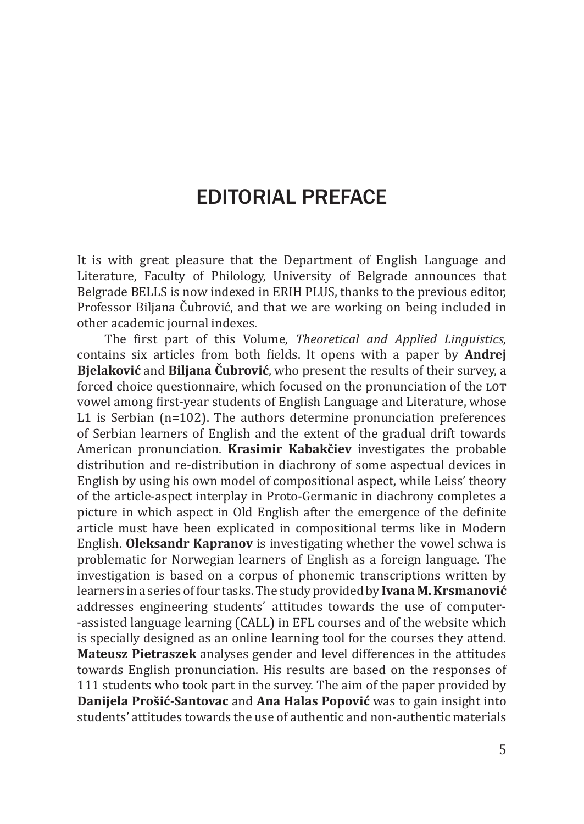## EDITORIAL PREFACE

It is with great pleasure that the Department of English Language and Literature, Faculty of Philology, University of Belgrade announces that Belgrade BELLS is now indexed in ERIH PLUS, thanks to the previous editor, Professor Biljana Čubrović, and that we are working on being included in other academic journal indexes.

The first part of this Volume, *Theoretical and Applied Linguistics*, contains six articles from both fields. It opens with a paper by **Andrej Bjelaković** and **Biljana Čubrović**, who present the results of their survey, a forced choice questionnaire, which focused on the pronunciation of the LOT vowel among first-year students of English Language and Literature, whose L1 is Serbian (n=102). The authors determine pronunciation preferences of Serbian learners of English and the extent of the gradual drift towards American pronunciation. **Krasimir Kabakčiev** investigates the probable distribution and re-distribution in diachrony of some aspectual devices in English by using his own model of compositional aspect, while Leiss' theory of the article-aspect interplay in Proto-Germanic in diachrony completes a picture in which aspect in Old English after the emergence of the definite article must have been explicated in compositional terms like in Modern English. **Oleksandr Kapranov** is investigating whether the vowel schwa is problematic for Norwegian learners of English as a foreign language. The investigation is based on a corpus of phonemic transcriptions written by learners in a series of four tasks. The study provided by **Ivana M. Krsmanović** addresses engineering students᾿ attitudes towards the use of computer- -assisted language learning (CALL) in EFL courses and of the website which is specially designed as an online learning tool for the courses they attend. **Mateusz Pietraszek** analyses gender and level differences in the attitudes towards English pronunciation. His results are based on the responses of 111 students who took part in the survey. The aim of the paper provided by **Danijela Prošić-Santovac** and **Ana Halas Popović** was to gain insight into students' attitudes towards the use of authentic and non-authentic materials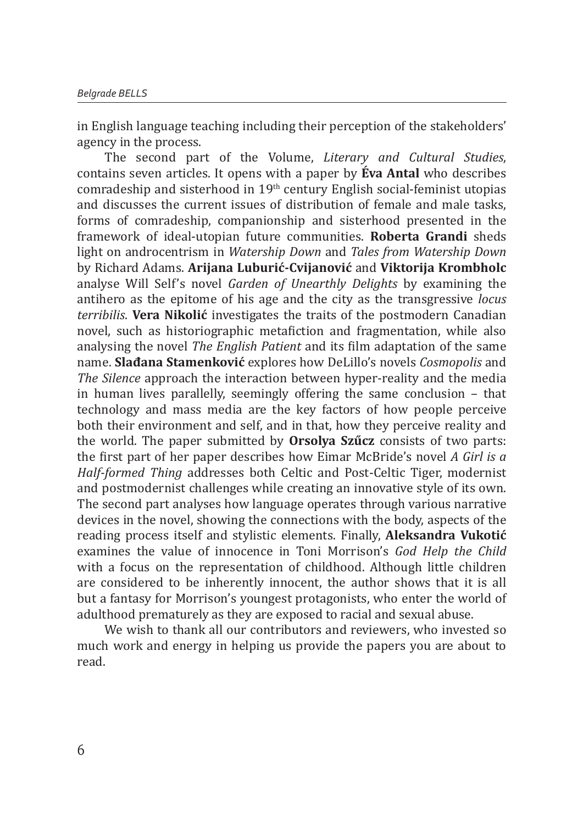in English language teaching including their perception of the stakeholders' agency in the process.

The second part of the Volume, *Literary and Cultural Studies*, contains seven articles. It opens with a paper by **Éva Antal** who describes comradeship and sisterhood in 19th century English social-feminist utopias and discusses the current issues of distribution of female and male tasks, forms of comradeship, companionship and sisterhood presented in the framework of ideal-utopian future communities. **Roberta Grandi** sheds light on androcentrism in *Watership Down* and *Tales from Watership Down* by Richard Adams. **Arijana Luburić-Cvijanović** and **Viktorija Krombholc** analyse Will Self's novel *Garden of Unearthly Delights* by examining the antihero as the epitome of his age and the city as the transgressive *locus terribilis*. **Vera Nikolić** investigates the traits of the postmodern Canadian novel, such as historiographic metafiction and fragmentation, while also analysing the novel *The English Patient* and its film adaptation of the same name. **Slađana Stamenković** explores how DeLillo's novels *Cosmopolis* and *The Silence* approach the interaction between hyper-reality and the media in human lives parallelly, seemingly offering the same conclusion – that technology and mass media are the key factors of how people perceive both their environment and self, and in that, how they perceive reality and the world. The paper submitted by **Orsolya Szűcz** consists of two parts: the first part of her paper describes how Eimar McBride's novel *A Girl is a Half-formed Thing* addresses both Celtic and Post-Celtic Tiger, modernist and postmodernist challenges while creating an innovative style of its own. The second part analyses how language operates through various narrative devices in the novel, showing the connections with the body, aspects of the reading process itself and stylistic elements. Finally, **Aleksandra Vukotić** examines the value of innocence in Toni Morrison's *God Help the Child* with a focus on the representation of childhood. Although little children are considered to be inherently innocent, the author shows that it is all but a fantasy for Morrison's youngest protagonists, who enter the world of adulthood prematurely as they are exposed to racial and sexual abuse.

We wish to thank all our contributors and reviewers, who invested so much work and energy in helping us provide the papers you are about to read.